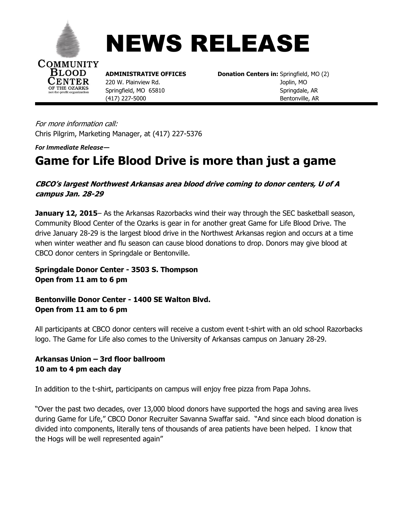



220 W. Plainview Rd.

**COMMUNITY**<br> **BLOOD ADMINISTRATIVE OFFICES Donation Centers in:** Springfield, MO (2)<br> **CENTER** 220 W. Plainview Rd. **Donation Centers in:** Springfield, MO **Springfield, MO 65810** *Springdale, AR* (417) 227-5000Bentonville, AR

For more information call: Chris Pilgrim, Marketing Manager, at (417) 227-5376

*For Immediate Release—*

**THE OZARKS** 

## **Game for Life Blood Drive is more than just a game**

**CBCO's largest Northwest Arkansas area blood drive coming to donor centers, U of A campus Jan. 28-29**

**January 12, 2015**– As the Arkansas Razorbacks wind their way through the SEC basketball season, Community Blood Center of the Ozarks is gear in for another great Game for Life Blood Drive. The drive January 28-29 is the largest blood drive in the Northwest Arkansas region and occurs at a time when winter weather and flu season can cause blood donations to drop. Donors may give blood at CBCO donor centers in Springdale or Bentonville.

**Springdale Donor Center - 3503 S. Thompson Open from 11 am to 6 pm**

**Bentonville Donor Center - 1400 SE Walton Blvd. Open from 11 am to 6 pm**

All participants at CBCO donor centers will receive a custom event t-shirt with an old school Razorbacks logo. The Game for Life also comes to the University of Arkansas campus on January 28-29.

## **Arkansas Union – 3rd floor ballroom 10 am to 4 pm each day**

In addition to the t-shirt, participants on campus will enjoy free pizza from Papa Johns.

"Over the past two decades, over 13,000 blood donors have supported the hogs and saving area lives during Game for Life," CBCO Donor Recruiter Savanna Swaffar said. "And since each blood donation is divided into components, literally tens of thousands of area patients have been helped. I know that the Hogs will be well represented again"